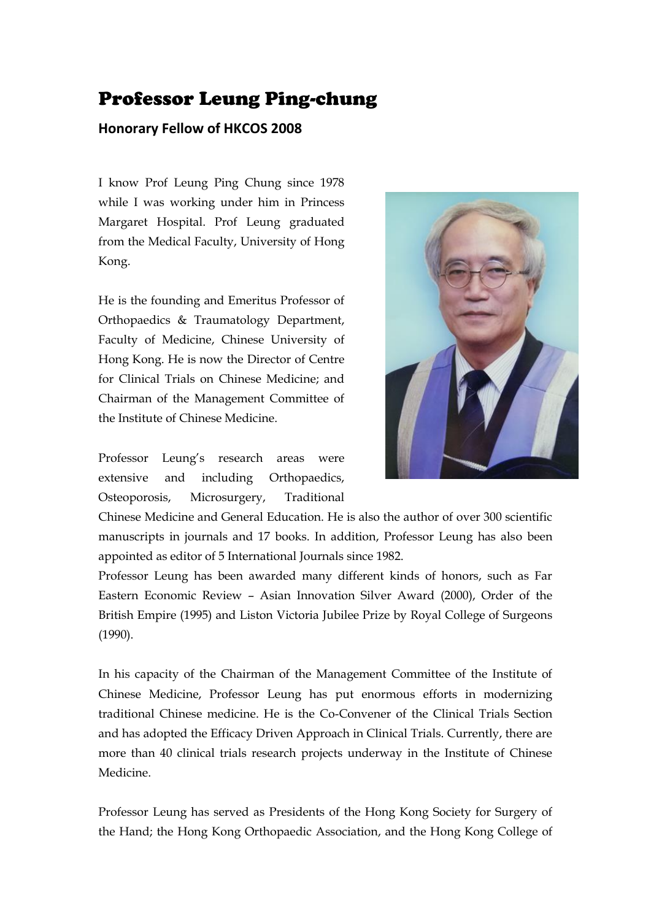## Professor Leung Ping-chung

## **Honorary Fellow of HKCOS 2008**

I know Prof Leung Ping Chung since 1978 while I was working under him in Princess Margaret Hospital. Prof Leung graduated from the Medical Faculty, University of Hong Kong.

He is the founding and Emeritus Professor of Orthopaedics & Traumatology Department, Faculty of Medicine, Chinese University of Hong Kong. He is now the Director of Centre for Clinical Trials on Chinese Medicine; and Chairman of the Management Committee of the Institute of Chinese Medicine.

Professor Leung's research areas were extensive and including Orthopaedics, Osteoporosis, Microsurgery, Traditional



Chinese Medicine and General Education. He is also the author of over 300 scientific manuscripts in journals and 17 books. In addition, Professor Leung has also been appointed as editor of 5 International Journals since 1982.

Professor Leung has been awarded many different kinds of honors, such as Far Eastern Economic Review – Asian Innovation Silver Award (2000), Order of the British Empire (1995) and Liston Victoria Jubilee Prize by Royal College of Surgeons (1990).

In his capacity of the Chairman of the Management Committee of the Institute of Chinese Medicine, Professor Leung has put enormous efforts in modernizing traditional Chinese medicine. He is the Co-Convener of the Clinical Trials Section and has adopted the Efficacy Driven Approach in Clinical Trials. Currently, there are more than 40 clinical trials research projects underway in the Institute of Chinese Medicine.

Professor Leung has served as Presidents of the Hong Kong Society for Surgery of the Hand; the Hong Kong Orthopaedic Association, and the Hong Kong College of